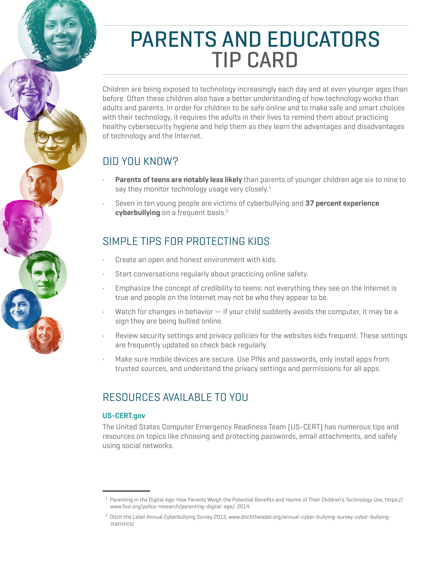# PARENTS AND EDUCATORS TIP CARD

Children are being exposed to technology increasingly each day and at even younger ages than before. Often these children also have a better understanding of how technology works than adults and parents. In order for children to be safe online and to make safe and smart choices with their technology, it requires the adults in their lives to remind them about practicing healthy cybersecurity hygiene and help them as they learn the advantages and disadvantages of technology and the Internet.

# DID YOU KNOW?

- **Parents of teens are notably less likely** than parents of younger children age six to nine to say they monitor technology usage very closely. $1$
- Seven in ten young people are victims of cyberbullying and **37 percent experience cyberbullying** on a frequent basis.<sup>2</sup>

# SIMPLE TIPS FOR PROTECTING KIDS

- Create an open and honest environment with kids.
- Start conversations reqularly about practicing online safety.
- Emphasize the concept of credibility to teens: not everything they see on the Internet is true and people on the Internet may not be who they appear to be.
- Watch for changes in behavior  $-$  if your child suddenly avoids the computer, it may be a sign they are being bullied online.
- Review security settings and privacy policies for the websites kids frequent. These settings are frequently updated so check back regularly.
- Make sure mobile devices are secure. Use PINs and passwords, only install apps from trusted sources, and understand the privacy settings and permissions for all apps.

## RESOURCES AVAILABLE TO YOU

## **[US-CERT.gov](https://www.us-cert.gov/)**

The United States Computer Emergency Readiness Team (US-CERT) has numerous tips and resources on topics like choosing and protecting passwords, email attachments, and safely using social networks.

 $^{\rm 1}$  Parenting in the Digital Age: How Parents Weigh the Potential Benefits and Harms of Their Children's Technology Use, https:// [www.fosi.org/policy-research/parenting-digital-age/,](https://www.fosi.org/policy-research/parenting-digital-age/) 2014

<sup>2</sup> Ditch the Label Annual Cyberbullying Survey 2013, www.ditchthelabel.org/annual-cyber-bullying-survey-cyber-bullying statistics/